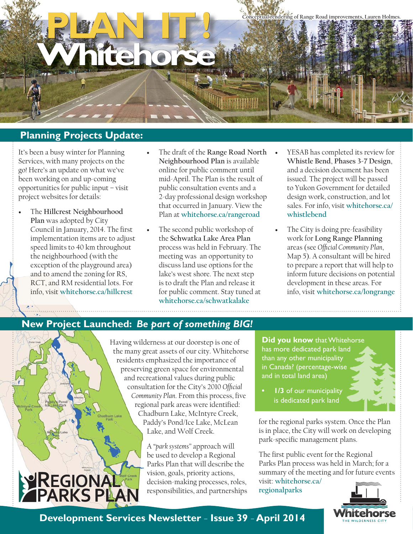

# **Planning Projects Update:**

It's been a busy winter for Planning Services, with many projects on the go! Here's an update on what we've been working on and up-coming opportunities for public input – visit project websites for details:

- The **Hillcrest Neighbourhood Plan** was adopted by City Council in January, 2014. The first implementation items are to adjust speed limits to 40 km throughout the neighbourhood (with the exception of the playground area) and to amend the zoning for RS, RCT, and RM residential lots. For info, visit **whitehorse.ca/hillcrest**
- The draft of the **Range Road North Neighbourhood Plan** is available online for public comment until mid-April. The Plan is the result of public consultation events and a 2-day professional design workshop that occurred in January. View the Plan at **whitehorse.ca/rangeroad**
- The second public workshop of the **Schwatka Lake Area Plan** process was held in February. The meeting was an opportunity to discuss land use options for the lake's west shore. The next step is to draft the Plan and release it for public comment. Stay tuned at **whitehorse.ca/schwatkalake**
- YESAB has completed its review for **Whistle Bend**, **Phases 3-7 Design**, and a decision document has been issued. The project will be passed to Yukon Government for detailed design work, construction, and lot sales. For info, visit **whitehorse.ca/ whistlebend**
- The City is doing pre-feasibility work for **Long Range Planning** areas (see *Official Community Plan*, Map 5). A consultant will be hired to prepare a report that will help to inform future decisions on potential development in these areas. For info, visit **whitehorse.ca/longrange**

## **New Project Launched:** *Be part of something BIG!*



Having wilderness at our doorstep is one of the many great assets of our city. Whitehorse residents emphasized the importance of preserving green space for environmental and recreational values during public consultation for the City's 2010 Official *Community Plan.* From this process, five regional park areas were identified: Chadburn Lake, McIntyre Creek, Paddy's Pond/Ice Lake, McLean Lake, and Wolf Creek.

> A "*park systems"* approach will be used to develop a Regional Parks Plan that will describe the vision, goals, priority actions, decision-making processes, roles, responsibilities, and partnerships

**Did you know** that Whitehorse has more dedicated park land than any other municipality in Canada? (percentage-wise and in total land area)

**1/3** of our municipality is dedicated park land

for the regional parks system. Once the Plan is in place, the City will work on developing park-specific management plans.

The first public event for the Regional Parks Plan process was held in March; for a summary of the meeting and for future events



**Development Services Newsletter** – **Issue 39** – **April 2014**